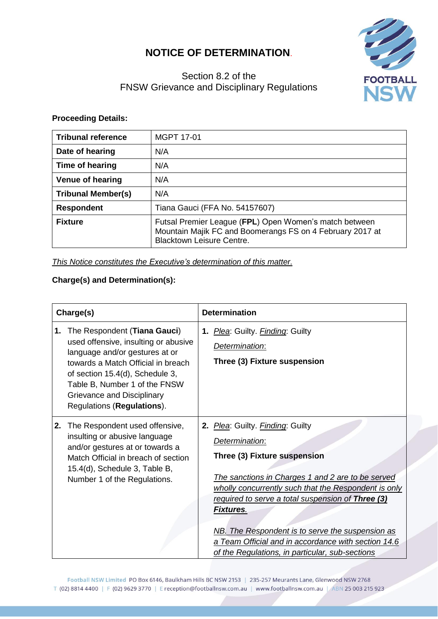## **NOTICE OF DETERMINATION**.



## Section 8.2 of the FNSW Grievance and Disciplinary Regulations

## **Proceeding Details:**

| <b>Tribunal reference</b> | <b>MGPT 17-01</b>                                                                                                                                       |
|---------------------------|---------------------------------------------------------------------------------------------------------------------------------------------------------|
| Date of hearing           | N/A                                                                                                                                                     |
| Time of hearing           | N/A                                                                                                                                                     |
| <b>Venue of hearing</b>   | N/A                                                                                                                                                     |
| <b>Tribunal Member(s)</b> | N/A                                                                                                                                                     |
| <b>Respondent</b>         | Tiana Gauci (FFA No. 54157607)                                                                                                                          |
| <b>Fixture</b>            | Futsal Premier League (FPL) Open Women's match between<br>Mountain Majik FC and Boomerangs FS on 4 February 2017 at<br><b>Blacktown Leisure Centre.</b> |

*This Notice constitutes the Executive's determination of this matter.*

## **Charge(s) and Determination(s):**

| Charge(s) |                                                                                                                                                                                                                                                                              | <b>Determination</b>                                                                                                                                                                                                                                                                                                                                                                                                                   |  |  |
|-----------|------------------------------------------------------------------------------------------------------------------------------------------------------------------------------------------------------------------------------------------------------------------------------|----------------------------------------------------------------------------------------------------------------------------------------------------------------------------------------------------------------------------------------------------------------------------------------------------------------------------------------------------------------------------------------------------------------------------------------|--|--|
| 1.        | The Respondent (Tiana Gauci)<br>used offensive, insulting or abusive<br>language and/or gestures at or<br>towards a Match Official in breach<br>of section 15.4(d), Schedule 3,<br>Table B, Number 1 of the FNSW<br>Grievance and Disciplinary<br>Regulations (Regulations). | 1. Plea: Guilty. Finding: Guilty<br>Determination:<br>Three (3) Fixture suspension                                                                                                                                                                                                                                                                                                                                                     |  |  |
| 2.        | The Respondent used offensive,<br>insulting or abusive language<br>and/or gestures at or towards a<br>Match Official in breach of section<br>15.4(d), Schedule 3, Table B,<br>Number 1 of the Regulations.                                                                   | 2. Plea: Guilty. Finding: Guilty<br>Determination:<br>Three (3) Fixture suspension<br>The sanctions in Charges 1 and 2 are to be served<br>wholly concurrently such that the Respondent is only<br>required to serve a total suspension of Three (3)<br><b>Fixtures.</b><br>NB. The Respondent is to serve the suspension as<br>a Team Official and in accordance with section 14.6<br>of the Regulations, in particular, sub-sections |  |  |